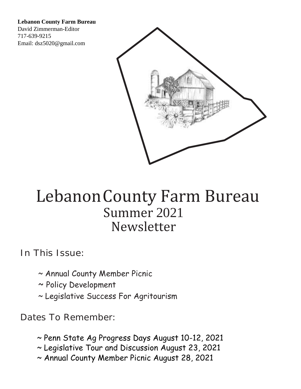**Lebanon County Farm Bureau** 

David Zimmerman-Editor 717-639-9215 Email: dsz5020@gmail.com



# Lebanon County Farm Bureau Summer 2021 Newsletter

In This Issue:

- $\sim$  Annual County Member Picnic
- ~ Policy Development
- ~ Legislative Success For Agritourism

Dates To Remember:

- ~ Penn State Ag Progress Days August 10-12, 2021
- ~ Legislative Tour and Discussion August 23, 2021
- ~ Annual County Member Picnic August 28, 2021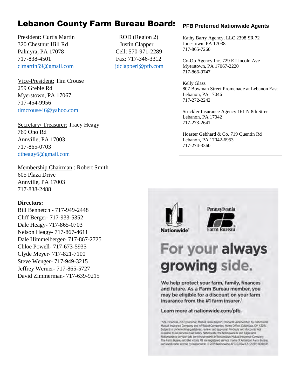# Lebanon County Farm Bureau Board:

President: Curtis Martin ROD (Region 2) 320 Chestnut Hill Rd Justin Clapper Palmyra, PA 17078 Cell: 570-971-2289 717-838-4501 Fax: 717-346-3312 [clmartin59@gmail.com](mailto:clmartin59@gmail.com) jdclapperl@pfb.com

Vice-President: Tim Crouse 259 Greble Rd Myerstown, PA 17067 717-454-9956 [timcrouse46@yahoo.com](mailto:timcrouse46@yahoo.com)

Secretary/ Treasurer: Tracy Heagy 769 Ono Rd Annville, PA 17003 717-865-0703 [dtheagy6@gmail.com](mailto:dtheagy6@gmail.com)

Membership Chairman : Robert Smith 605 Plaza Drive Annville, PA 17003 717-838-2488

#### **Directors:**

Bill Bennetch - 717-949-2448 Cliff Berger- 717-933-5352 Dale Heagy- 717-865-0703 Nelson Heagy- 717-867-4611 Dale Himmelberger- 717-867-2725 Chloe Powell- 717-673-5935 Clyde Meyer- 717-821-7100 Steve Wenger- 717-949-3215 Jeffrey Werner- 717-865-5727 David Zimmerman- 717-639-9215

#### **PFB Preferred Nationwide Agents**

Kathy Barry Agency, LLC 2398 SR 72 Jonestown, PA 17038 717-865-7260

Co-Op Agency Inc. 729 E Lincoln Ave Myerstown, PA 17067-2220 717-866-9747

Kelly Glass 807 Bowman Street Promenade at Lebanon East Lebanon, PA 17046 717-272-2242

Strickler Insurance Agency 161 N 8th Street Lebanon, PA 17042 717-273-2641

Hoaster Gebhard & Co. 719 Quentin Rd Lebanon, PA 17042-6953 717-274-3360

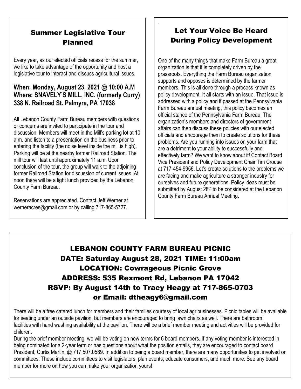#### Summer Legislative Tour Planned

Every year, as our elected officials recess for the summer, we like to take advantage of the opportunity and host a legislative tour to interact and discuss agricultural issues.

#### **When: Monday, August 23, 2021 @ 10:00 A.M Where: SNAVELY'S MILL, INC. (formerly Curry) 338 N. Railroad St. Palmyra, PA 17038**

All Lebanon County Farm Bureau members with questions or concerns are invited to participate in the tour and discussion. Members will meet in the Mill's parking lot at 10 a.m. and listen to a presentation on the business prior to entering the facility (the noise level inside the mill is high). Parking will be at the nearby former Railroad Station. The mill tour will last until approximately 11 a.m. Upon conclusion of the tour, the group will walk to the adjoining former Railroad Station for discussion of current issues. At noon there will be a light lunch provided by the Lebanon County Farm Bureau.

Reservations are appreciated. Contact Jeff Werner at werneracres@gmail.com or by calling 717-865-5727.

### Let Your Voice Be Heard During Policy Development

One of the many things that make Farm Bureau a great organization is that it is completely driven by the grassroots. Everything the Farm Bureau organization supports and opposes is determined by the farmer members. This is all done through a process known as policy development. It all starts with an issue. That issue is addressed with a policy and if passed at the Pennsylvania Farm Bureau annual meeting, this policy becomes an official stance of the Pennsylvania Farm Bureau. The organization's members and directors of government affairs can then discuss these policies with our elected officials and encourage them to create solutions for these problems. Are you running into issues on your farm that are a detriment to your ability to successfully and effectively farm? We want to know about it! Contact Board Vice President and Policy Development Chair Tim Crouse at 717-454-9956. Let's create solutions to the problems we are facing and make agriculture a stronger industry for ourselves and future generations. Policy ideas must be submitted by August 28<sup>th</sup> to be considered at the Lebanon County Farm Bureau Annual Meeting.

## LEBANON COUNTY FARM BUREAU PICNIC DATE: Saturday August 28, 2021 TIME: 11:00am LOCATION: Cowrageous Picnic Grove ADDRESS: 535 Rexmont Rd, Lebanon PA 17042 RSVP: By August 14th to Tracy Heagy at 717-865-0703 or Email: dtheagy6@gmail.com

.

There will be a free catered lunch for members and their families courtesy of local agribusinesses. Picnic tables will be available for seating under an outside pavilion, but members are encouraged to bring lawn chairs as well. There are bathroom facilities with hand washing availability at the pavilion. There will be a brief member meeting and activities will be provided for children.

During the brief member meeting, we will be voting on new terms for 6 board members. If any voting member is interested in being nominated for a 2-year term or has questions about what the position entails, they are encouraged to contact board President, Curtis Martin, @ 717.507.0589. In addition to being a board member, there are many opportunities to get involved on committees. These include committees to visit legislators, plan events, educate consumers, and much more. See any board member for more on how you can make your organization yours!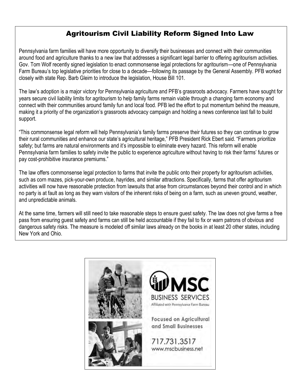### Agritourism Civil Liability Reform Signed Into Law

Pennsylvania farm families will have more opportunity to diversify their businesses and connect with their communities around food and agriculture thanks to a new law that addresses a significant legal barrier to offering agritourism activities. Gov. Tom Wolf recently signed legislation to enact commonsense legal protections for agritourism—one of Pennsylvania Farm Bureau's top legislative priorities for close to a decade—following its passage by the General Assembly. PFB worked closely with state Rep. Barb Gleim to introduce the legislation, House Bill 101.

The law's adoption is a major victory for Pennsylvania agriculture and PFB's grassroots advocacy. Farmers have sought for years secure civil liability limits for agritourism to help family farms remain viable through a changing farm economy and connect with their communities around family fun and local food. PFB led the effort to put momentum behind the measure, making it a priority of the organization's grassroots advocacy campaign and holding a news conference last fall to build support.

"This commonsense legal reform will help Pennsylvania's family farms preserve their futures so they can continue to grow their rural communities and enhance our state's agricultural heritage," PFB President Rick Ebert said. "Farmers prioritize safety; but farms are natural environments and it's impossible to eliminate every hazard. This reform will enable Pennsylvania farm families to safety invite the public to experience agriculture without having to risk their farms' futures or pay cost-prohibitive insurance premiums."

The law offers commonsense legal protection to farms that invite the public onto their property for agritourism activities, such as corn mazes, pick-your-own produce, hayrides, and similar attractions. Specifically, farms that offer agritourism activities will now have reasonable protection from lawsuits that arise from circumstances beyond their control and in which no party is at fault as long as they warn visitors of the inherent risks of being on a farm, such as uneven ground, weather, and unpredictable animals.

At the same time, farmers will still need to take reasonable steps to ensure guest safety. The law does not give farms a free pass from ensuring guest safety and farms can still be held accountable if they fail to fix or warn patrons of obvious and dangerous safety risks. The measure is modeled off similar laws already on the books in at least 20 other states, including New York and Ohio.

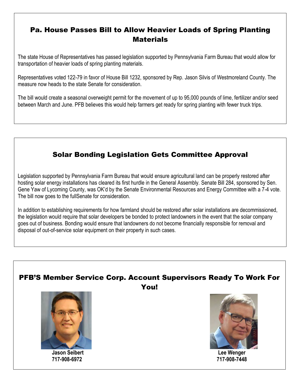### Pa. House Passes Bill to Allow Heavier Loads of Spring Planting **Materials**

The state House of Representatives has passed legislation supported by Pennsylvania Farm Bureau that would allow for transportation of heavier loads of spring planting materials.

Representatives voted 122-79 in favor of House Bill 1232, sponsored by Rep. Jason Silvis of Westmoreland County. The measure now heads to the state Senate for consideration.

The bill would create a seasonal overweight permit for the movement of up to 95,000 pounds of lime, fertilizer and/or seed between March and June. PFB believes this would help farmers get ready for spring planting with fewer truck trips.

## Solar Bonding Legislation Gets Committee Approval

Legislation supported by Pennsylvania Farm Bureau that would ensure agricultural land can be properly restored after hosting solar energy installations has cleared its first hurdle in the General Assembly. Senate Bill 284, sponsored by Sen. Gene Yaw of Lycoming County, was OK'd by the Senate Environmental Resources and Energy Committee with a 7-4 vote. The bill now goes to the fullSenate for consideration.

In addition to establishing requirements for how farmland should be restored after solar installations are decommissioned, the legislation would require that solar developers be bonded to protect landowners in the event that the solar company goes out of business. Bonding would ensure that landowners do not become financially responsible for removal and disposal of out-of-service solar equipment on their property in such cases.

#### PFB'S Member Service Corp. Account Supervisors Ready To Work For You!



**Jason Seibert Lee Wenger**



 **717-908-6972 717-908-7448**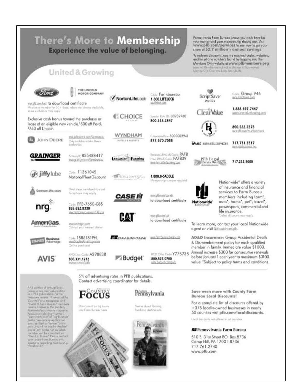| <b>Experience the value of belonging.</b><br><b>United &amp; Growing</b>                                                                                                                                                     |                                                                             |                                                                                               |                                                                                       | share of \$2.7 million in annual savings.<br>To redeem discounts, use the required codes, websites,<br>and/or phone numbers found by logging into the<br>Members Only website at www.pfbmembers.org.<br>Member Benefits are subject to change without notice.<br>Membership Does An Non-Refundable |  |                                                                                                                   |  |
|------------------------------------------------------------------------------------------------------------------------------------------------------------------------------------------------------------------------------|-----------------------------------------------------------------------------|-----------------------------------------------------------------------------------------------|---------------------------------------------------------------------------------------|----------------------------------------------------------------------------------------------------------------------------------------------------------------------------------------------------------------------------------------------------------------------------------------------------|--|-------------------------------------------------------------------------------------------------------------------|--|
| www.pfb.com/ford to download certificate                                                                                                                                                                                     | THE LINCOLN<br><b>MOTOR COMPANY</b>                                         | V NortonLifeLock                                                                              | Code: Farmbureau<br>1.800.LIFELOCK<br>MARRESCR COOL                                   | ScriptSave <sup>®</sup><br>WellRx                                                                                                                                                                                                                                                                  |  | Code: Group 946<br>www.scriptsave.com                                                                             |  |
| Most be a member for 30+ days; rebate not always stackable,<br>ylopp yorn anclusions may<br>Exclusive cash bonus toward the purchase or<br>lease of an eligible new vehicle. <sup>5</sup> 500 off Ford,<br>\$750 off Lincoln |                                                                             | <b>CHOICE</b>                                                                                 | Special Rote ID: 00209780<br>800.258.2847                                             | <b>ClearValue</b>                                                                                                                                                                                                                                                                                  |  | 1.888.497.7447<br>www.clearyakerhearing.com                                                                       |  |
|                                                                                                                                                                                                                              |                                                                             |                                                                                               |                                                                                       |                                                                                                                                                                                                                                                                                                    |  | 800.522.2375<br>www.pfb.com/freakthservices                                                                       |  |
| <b>JOHN DEERE</b>                                                                                                                                                                                                            | www.johndeene.com/farmbureau<br>Criy available at John Deere<br>destenhips. | WYNDHAM<br>HOTELS & RESORTS                                                                   | Corporate Rote: 8000002941<br>877.670.7088                                            | <b>WMSC BUSINESS SERVICES</b>                                                                                                                                                                                                                                                                      |  | 717.731.3517<br>www.micbusiness.net                                                                               |  |
| <b>GRAINGER</b>                                                                                                                                                                                                              | Accounts: 855488417<br>www.orzinger.com/lannibureau                         | ancaster <b>Farming</b>                                                                       | Renewals 10% off, Code: PAFB<br>New SID off, Code: PAFB39<br>www.lancasterfarming.com | PFB Legal<br>Service Plan-                                                                                                                                                                                                                                                                         |  | 717.232.5000                                                                                                      |  |
| jiffylube                                                                                                                                                                                                                    | Code: 11361045<br>National Fleet Discount                                   | <b>HORSELOVERZ</b>                                                                            | 1.800.8-SADDLE<br>Membership number required                                          |                                                                                                                                                                                                                                                                                                    |  | Nationwide <sup>®</sup> offers a variety                                                                          |  |
| SHERWAN-WILLIAMS                                                                                                                                                                                                             | Must show membership card<br>Exceptions may apply                           | <i>CASE III</i>                                                                               | www.pfb.com/caseh<br>to download certificate                                          | Nationwide <sup>®</sup>                                                                                                                                                                                                                                                                            |  | of insurance and financial<br>services to Farm Bureau<br>members including farm",<br>auto", home", pet", travel", |  |
| nrg                                                                                                                                                                                                                          | Code: PFB-7650-085<br>855.692.8330<br>MW.rrghomepower.com/PAFarm            | HA                                                                                            | www.cfb.com/cat.                                                                      | <b>I</b> an your rid                                                                                                                                                                                                                                                                               |  | powersports, commercial and<br>life insurance.<br>*Select discounts may apply.                                    |  |
| AmeriGas                                                                                                                                                                                                                     | www.amerigas.com<br>Contact your nearest dealer                             |                                                                                               | to download certificate                                                               | To learn more, contact your local Nationwide<br>agent or visit liationvide.com/pfb.                                                                                                                                                                                                                |  |                                                                                                                   |  |
| usiness<br>ovantage                                                                                                                                                                                                          | Code: 1586181PHL<br>www.StaplesAdvantage.com<br>Online purchases            | <b>THE FARM BUREAU BANK</b>                                                                   | www.farmbureaubank.com                                                                | AD&D Insurance: Group Accidental Death<br>& Dismemberment policy for each qualified<br>member in family. Immediate value \$1000.                                                                                                                                                                   |  |                                                                                                                   |  |
| <b>AVIS</b>                                                                                                                                                                                                                  | AWD Disc, Code: A298838<br>800.331.1212<br>MYM.BISS.com/paftz               | <b>IICD Offer Code Y775738</b><br><b>Budget</b><br>800.527.0700<br>dladimo.3sdod.sm/ustu      |                                                                                       | Annual increase \$300 for consecutive renewals<br>before January 1 each year to maximum \$3100<br>value. "Subject to policy terms and conditions.                                                                                                                                                  |  |                                                                                                                   |  |
|                                                                                                                                                                                                                              |                                                                             | 5% off advertising rates in PFB publications.<br>Contact advertising coordinator for details. |                                                                                       |                                                                                                                                                                                                                                                                                                    |  |                                                                                                                   |  |
| A.13 portion of ornual dues<br>covers o cost-year subscription<br>to a PFB publication. Former<br>members receive 11 issues of the                                                                                           | $F_{\rm OCUS}$                                                              | Pennsylvania                                                                                  |                                                                                       | Save even more with County Farm<br><b>Bureau Local Discounts!</b>                                                                                                                                                                                                                                  |  |                                                                                                                   |  |
| Country Focus newspaper and<br>"Iriarel of Farm Bureau" members<br>receive 4 issues of the quarterly<br>Pauli'rely PerintyNamia magazine.<br>Applicants subscting "larmer",                                                  | Stoy current on og issues<br>and Form Bureau news.                          |                                                                                               | Stories about farming,<br>food and destinations.                                      | For a complete list of discounts offered by<br>+375 locally-owned businesses in nearly<br>50 counties visit pfb.com/localdiscounts.                                                                                                                                                                |  |                                                                                                                   |  |
| port-firm former" or "ogribusiness"<br>noith : Application and main artists<br>are classified as "farmer" mem-                                                                                                               |                                                                             |                                                                                               | Pennsylvania                                                                          | Local discounts not offered in all counties.                                                                                                                                                                                                                                                       |  |                                                                                                                   |  |
| bers. Should no box be checked                                                                                                                                                                                               |                                                                             |                                                                                               |                                                                                       |                                                                                                                                                                                                                                                                                                    |  |                                                                                                                   |  |

#### **##** Pennsylvania Farm Bureau

510 S. 31st Street P.O. Box 8736<br>Camp Hill, PA 17001-8736<br>717.761.2740 www.pfb.com